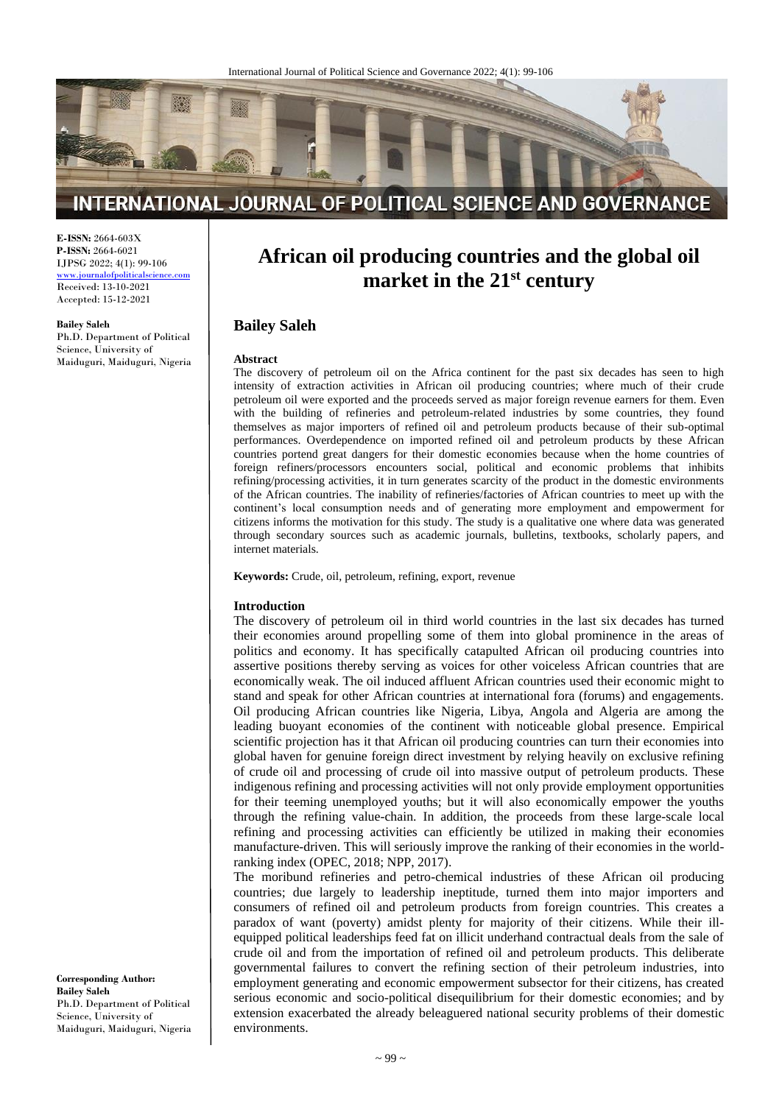

# INTERNATIONAL JOURNAL OF POLITICAL SCIENCE AND GOVERNANCE

**E-ISSN:** 2664-603X **P-ISSN:** 2664-6021 IJPSG 2022; 4(1): 99-106

[www.journalofpoliticalscience.com](http://www.journalofpoliticalscience.com/) Received: 13-10-2021 Accepted: 15-12-2021

**Bailey Saleh** Ph.D. Department of Political Science, University of Maiduguri, Maiduguri, Nigeria

# **African oil producing countries and the global oil market in the 21st century**

# **Bailey Saleh**

#### **Abstract**

The discovery of petroleum oil on the Africa continent for the past six decades has seen to high intensity of extraction activities in African oil producing countries; where much of their crude petroleum oil were exported and the proceeds served as major foreign revenue earners for them. Even with the building of refineries and petroleum-related industries by some countries, they found themselves as major importers of refined oil and petroleum products because of their sub-optimal performances. Overdependence on imported refined oil and petroleum products by these African countries portend great dangers for their domestic economies because when the home countries of foreign refiners/processors encounters social, political and economic problems that inhibits refining/processing activities, it in turn generates scarcity of the product in the domestic environments of the African countries. The inability of refineries/factories of African countries to meet up with the continent's local consumption needs and of generating more employment and empowerment for citizens informs the motivation for this study. The study is a qualitative one where data was generated through secondary sources such as academic journals, bulletins, textbooks, scholarly papers, and internet materials.

**Keywords:** Crude, oil, petroleum, refining, export, revenue

#### **Introduction**

The discovery of petroleum oil in third world countries in the last six decades has turned their economies around propelling some of them into global prominence in the areas of politics and economy. It has specifically catapulted African oil producing countries into assertive positions thereby serving as voices for other voiceless African countries that are economically weak. The oil induced affluent African countries used their economic might to stand and speak for other African countries at international fora (forums) and engagements. Oil producing African countries like Nigeria, Libya, Angola and Algeria are among the leading buoyant economies of the continent with noticeable global presence. Empirical scientific projection has it that African oil producing countries can turn their economies into global haven for genuine foreign direct investment by relying heavily on exclusive refining of crude oil and processing of crude oil into massive output of petroleum products. These indigenous refining and processing activities will not only provide employment opportunities for their teeming unemployed youths; but it will also economically empower the youths through the refining value-chain. In addition, the proceeds from these large-scale local refining and processing activities can efficiently be utilized in making their economies manufacture-driven. This will seriously improve the ranking of their economies in the worldranking index (OPEC, 2018; NPP, 2017).

The moribund refineries and petro-chemical industries of these African oil producing countries; due largely to leadership ineptitude, turned them into major importers and consumers of refined oil and petroleum products from foreign countries. This creates a paradox of want (poverty) amidst plenty for majority of their citizens. While their illequipped political leaderships feed fat on illicit underhand contractual deals from the sale of crude oil and from the importation of refined oil and petroleum products. This deliberate governmental failures to convert the refining section of their petroleum industries, into employment generating and economic empowerment subsector for their citizens, has created serious economic and socio-political disequilibrium for their domestic economies; and by extension exacerbated the already beleaguered national security problems of their domestic environments.

**Corresponding Author: Bailey Saleh** Ph.D. Department of Political Science, University of Maiduguri, Maiduguri, Nigeria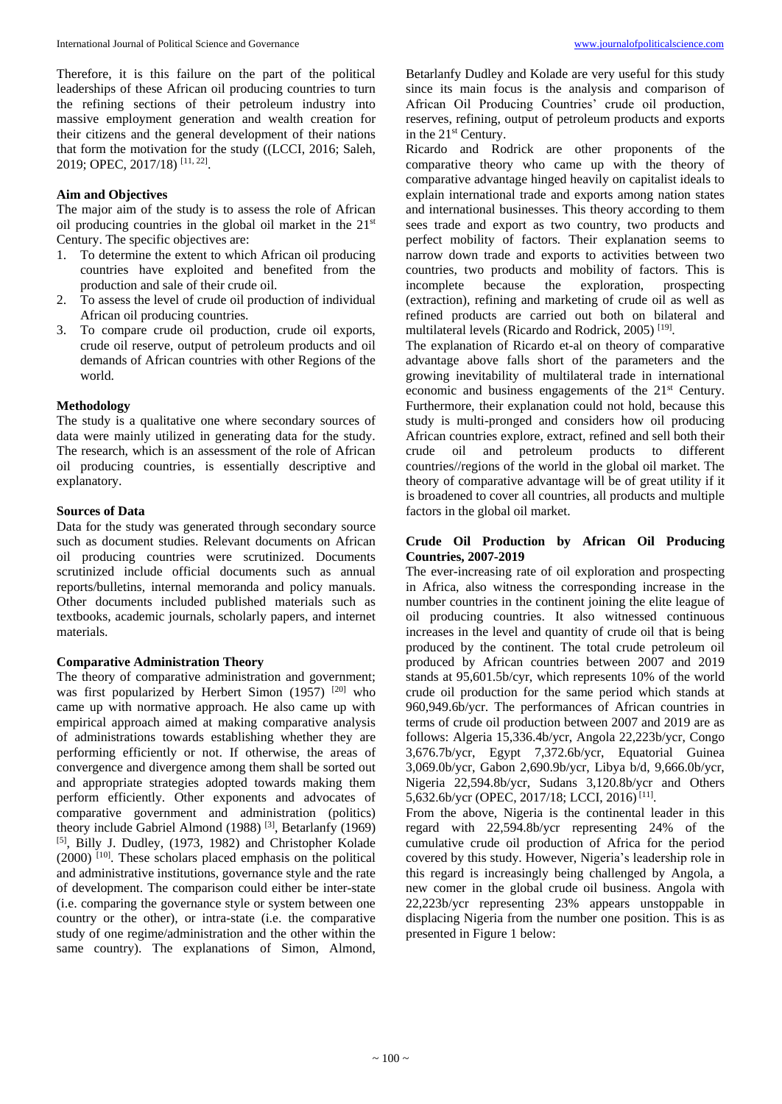Therefore, it is this failure on the part of the political leaderships of these African oil producing countries to turn the refining sections of their petroleum industry into massive employment generation and wealth creation for their citizens and the general development of their nations that form the motivation for the study ((LCCI, 2016; Saleh, 2019; OPEC, 2017/18) [11, 22] .

#### **Aim and Objectives**

The major aim of the study is to assess the role of African oil producing countries in the global oil market in the  $21<sup>st</sup>$ Century. The specific objectives are:

- 1. To determine the extent to which African oil producing countries have exploited and benefited from the production and sale of their crude oil.
- 2. To assess the level of crude oil production of individual African oil producing countries.
- 3. To compare crude oil production, crude oil exports, crude oil reserve, output of petroleum products and oil demands of African countries with other Regions of the world.

#### **Methodology**

The study is a qualitative one where secondary sources of data were mainly utilized in generating data for the study. The research, which is an assessment of the role of African oil producing countries, is essentially descriptive and explanatory.

#### **Sources of Data**

Data for the study was generated through secondary source such as document studies. Relevant documents on African oil producing countries were scrutinized. Documents scrutinized include official documents such as annual reports/bulletins, internal memoranda and policy manuals. Other documents included published materials such as textbooks, academic journals, scholarly papers, and internet materials.

#### **Comparative Administration Theory**

The theory of comparative administration and government; was first popularized by Herbert Simon  $(1957)$ <sup>[20]</sup> who came up with normative approach. He also came up with empirical approach aimed at making comparative analysis of administrations towards establishing whether they are performing efficiently or not. If otherwise, the areas of convergence and divergence among them shall be sorted out and appropriate strategies adopted towards making them perform efficiently. Other exponents and advocates of comparative government and administration (politics) theory include Gabriel Almond (1988)<sup>[3]</sup>, Betarlanfy (1969) [5] , Billy J. Dudley, (1973, 1982) and Christopher Kolade (2000) [10] . These scholars placed emphasis on the political and administrative institutions, governance style and the rate of development. The comparison could either be inter-state (i.e. comparing the governance style or system between one country or the other), or intra-state (i.e. the comparative study of one regime/administration and the other within the same country). The explanations of Simon, Almond, Betarlanfy Dudley and Kolade are very useful for this study since its main focus is the analysis and comparison of African Oil Producing Countries' crude oil production, reserves, refining, output of petroleum products and exports in the 21<sup>st</sup> Century.

Ricardo and Rodrick are other proponents of the comparative theory who came up with the theory of comparative advantage hinged heavily on capitalist ideals to explain international trade and exports among nation states and international businesses. This theory according to them sees trade and export as two country, two products and perfect mobility of factors. Their explanation seems to narrow down trade and exports to activities between two countries, two products and mobility of factors. This is incomplete because the exploration, prospecting (extraction), refining and marketing of crude oil as well as refined products are carried out both on bilateral and multilateral levels (Ricardo and Rodrick, 2005)<sup>[19]</sup>.

The explanation of Ricardo et-al on theory of comparative advantage above falls short of the parameters and the growing inevitability of multilateral trade in international economic and business engagements of the 21st Century. Furthermore, their explanation could not hold, because this study is multi-pronged and considers how oil producing African countries explore, extract, refined and sell both their crude oil and petroleum products to different countries//regions of the world in the global oil market. The theory of comparative advantage will be of great utility if it is broadened to cover all countries, all products and multiple factors in the global oil market.

## **Crude Oil Production by African Oil Producing Countries, 2007-2019**

The ever-increasing rate of oil exploration and prospecting in Africa, also witness the corresponding increase in the number countries in the continent joining the elite league of oil producing countries. It also witnessed continuous increases in the level and quantity of crude oil that is being produced by the continent. The total crude petroleum oil produced by African countries between 2007 and 2019 stands at 95,601.5b/cyr, which represents 10% of the world crude oil production for the same period which stands at 960,949.6b/ycr. The performances of African countries in terms of crude oil production between 2007 and 2019 are as follows: Algeria 15,336.4b/ycr, Angola 22,223b/ycr, Congo 3,676.7b/ycr, Egypt 7,372.6b/ycr, Equatorial Guinea 3,069.0b/ycr, Gabon 2,690.9b/ycr, Libya b/d, 9,666.0b/ycr, Nigeria 22,594.8b/ycr, Sudans 3,120.8b/ycr and Others 5,632.6b/ycr (OPEC, 2017/18; LCCI, 2016)<sup>[11]</sup>.

From the above, Nigeria is the continental leader in this regard with 22,594.8b/ycr representing 24% of the cumulative crude oil production of Africa for the period covered by this study. However, Nigeria's leadership role in this regard is increasingly being challenged by Angola, a new comer in the global crude oil business. Angola with 22,223b/ycr representing 23% appears unstoppable in displacing Nigeria from the number one position. This is as presented in Figure 1 below: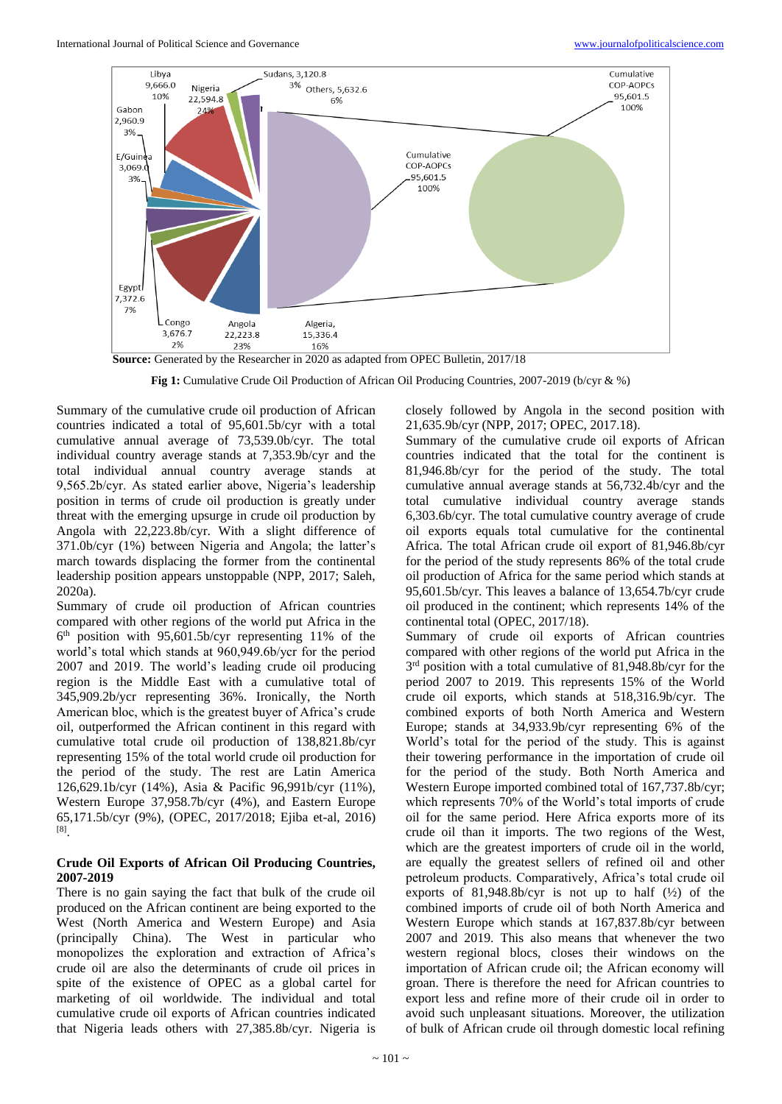

**Source:** Generated by the Researcher in 2020 as adapted from OPEC Bulletin, 2017/18

**Fig 1:** Cumulative Crude Oil Production of African Oil Producing Countries, 2007-2019 (b/cyr & %)

Summary of the cumulative crude oil production of African countries indicated a total of 95,601.5b/cyr with a total cumulative annual average of 73,539.0b/cyr. The total individual country average stands at 7,353.9b/cyr and the total individual annual country average stands at 9,565.2b/cyr. As stated earlier above, Nigeria's leadership position in terms of crude oil production is greatly under threat with the emerging upsurge in crude oil production by Angola with 22,223.8b/cyr. With a slight difference of 371.0b/cyr (1%) between Nigeria and Angola; the latter's march towards displacing the former from the continental leadership position appears unstoppable (NPP, 2017; Saleh, 2020a).

Summary of crude oil production of African countries compared with other regions of the world put Africa in the 6 th position with 95,601.5b/cyr representing 11% of the world's total which stands at 960,949.6b/ycr for the period 2007 and 2019. The world's leading crude oil producing region is the Middle East with a cumulative total of 345,909.2b/ycr representing 36%. Ironically, the North American bloc, which is the greatest buyer of Africa's crude oil, outperformed the African continent in this regard with cumulative total crude oil production of 138,821.8b/cyr representing 15% of the total world crude oil production for the period of the study. The rest are Latin America 126,629.1b/cyr (14%), Asia & Pacific 96,991b/cyr (11%), Western Europe 37,958.7b/cyr (4%), and Eastern Europe 65,171.5b/cyr (9%), (OPEC, 2017/2018; Ejiba et-al, 2016) [8] .

## **Crude Oil Exports of African Oil Producing Countries, 2007-2019**

There is no gain saying the fact that bulk of the crude oil produced on the African continent are being exported to the West (North America and Western Europe) and Asia (principally China). The West in particular who monopolizes the exploration and extraction of Africa's crude oil are also the determinants of crude oil prices in spite of the existence of OPEC as a global cartel for marketing of oil worldwide. The individual and total cumulative crude oil exports of African countries indicated that Nigeria leads others with 27,385.8b/cyr. Nigeria is

closely followed by Angola in the second position with 21,635.9b/cyr (NPP, 2017; OPEC, 2017.18).

Summary of the cumulative crude oil exports of African countries indicated that the total for the continent is 81,946.8b/cyr for the period of the study. The total cumulative annual average stands at 56,732.4b/cyr and the total cumulative individual country average stands 6,303.6b/cyr. The total cumulative country average of crude oil exports equals total cumulative for the continental Africa. The total African crude oil export of 81,946.8b/cyr for the period of the study represents 86% of the total crude oil production of Africa for the same period which stands at 95,601.5b/cyr. This leaves a balance of 13,654.7b/cyr crude oil produced in the continent; which represents 14% of the continental total (OPEC, 2017/18).

Summary of crude oil exports of African countries compared with other regions of the world put Africa in the 3<sup>rd</sup> position with a total cumulative of 81,948.8b/cyr for the period 2007 to 2019. This represents 15% of the World crude oil exports, which stands at 518,316.9b/cyr. The combined exports of both North America and Western Europe; stands at 34,933.9b/cyr representing 6% of the World's total for the period of the study. This is against their towering performance in the importation of crude oil for the period of the study. Both North America and Western Europe imported combined total of 167,737.8b/cyr; which represents 70% of the World's total imports of crude oil for the same period. Here Africa exports more of its crude oil than it imports. The two regions of the West, which are the greatest importers of crude oil in the world, are equally the greatest sellers of refined oil and other petroleum products. Comparatively, Africa's total crude oil exports of  $81,948.8b/cyr$  is not up to half  $(\frac{1}{2})$  of the combined imports of crude oil of both North America and Western Europe which stands at 167,837.8b/cyr between 2007 and 2019. This also means that whenever the two western regional blocs, closes their windows on the importation of African crude oil; the African economy will groan. There is therefore the need for African countries to export less and refine more of their crude oil in order to avoid such unpleasant situations. Moreover, the utilization of bulk of African crude oil through domestic local refining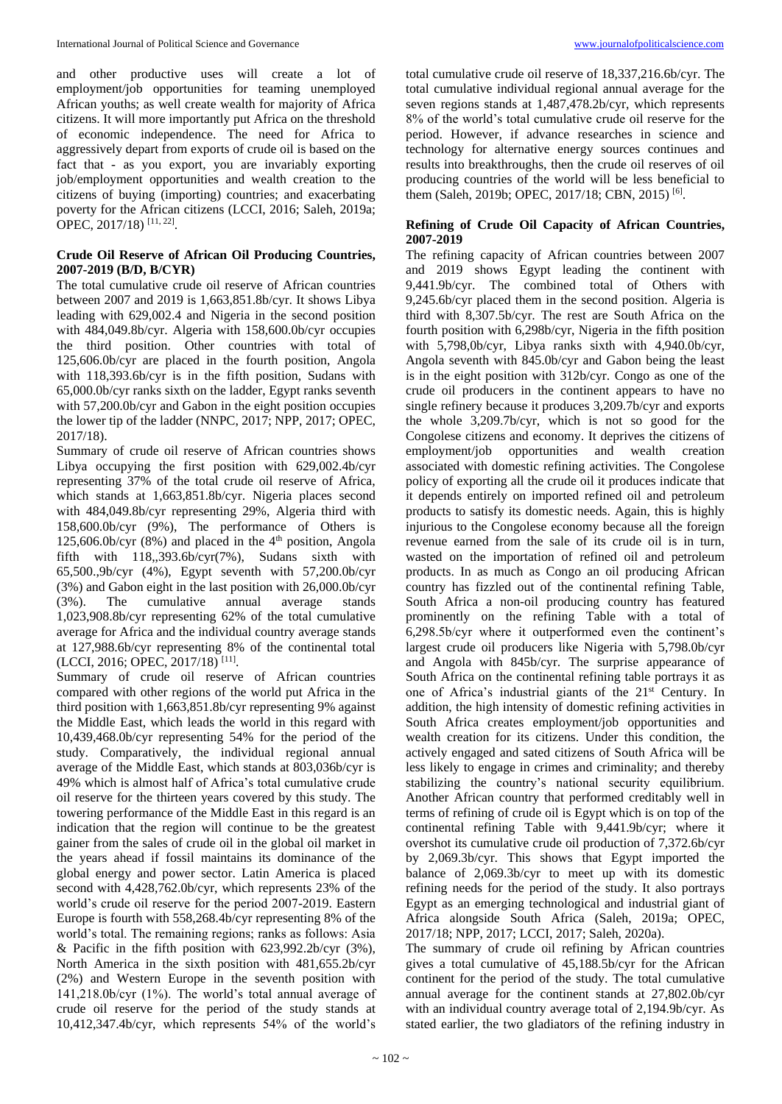and other productive uses will create a lot of employment/job opportunities for teaming unemployed African youths; as well create wealth for majority of Africa citizens. It will more importantly put Africa on the threshold of economic independence. The need for Africa to aggressively depart from exports of crude oil is based on the fact that - as you export, you are invariably exporting job/employment opportunities and wealth creation to the citizens of buying (importing) countries; and exacerbating poverty for the African citizens (LCCI, 2016; Saleh, 2019a; OPEC, 2017/18)<sup>[11, 22]</sup>.

#### **Crude Oil Reserve of African Oil Producing Countries, 2007-2019 (B/D, B/CYR)**

The total cumulative crude oil reserve of African countries between 2007 and 2019 is 1,663,851.8b/cyr. It shows Libya leading with 629,002.4 and Nigeria in the second position with 484,049.8b/cyr. Algeria with 158,600.0b/cyr occupies the third position. Other countries with total of 125,606.0b/cyr are placed in the fourth position, Angola with 118,393.6b/cyr is in the fifth position, Sudans with 65,000.0b/cyr ranks sixth on the ladder, Egypt ranks seventh with 57,200.0b/cyr and Gabon in the eight position occupies the lower tip of the ladder (NNPC, 2017; NPP, 2017; OPEC, 2017/18).

Summary of crude oil reserve of African countries shows Libya occupying the first position with 629,002.4b/cyr representing 37% of the total crude oil reserve of Africa, which stands at 1,663,851.8b/cyr. Nigeria places second with 484,049.8b/cyr representing 29%, Algeria third with 158,600.0b/cyr (9%), The performance of Others is 125,606.0b/cyr (8%) and placed in the  $4<sup>th</sup>$  position, Angola fifth with  $118,393.6b/cyr(7%)$ , Sudans sixth with 65,500.,9b/cyr (4%), Egypt seventh with 57,200.0b/cyr (3%) and Gabon eight in the last position with 26,000.0b/cyr (3%). The cumulative annual average stands 1,023,908.8b/cyr representing 62% of the total cumulative average for Africa and the individual country average stands at 127,988.6b/cyr representing 8% of the continental total (LCCI, 2016; OPEC, 2017/18)<sup>[11]</sup>.

Summary of crude oil reserve of African countries compared with other regions of the world put Africa in the third position with 1,663,851.8b/cyr representing 9% against the Middle East, which leads the world in this regard with 10,439,468.0b/cyr representing 54% for the period of the study. Comparatively, the individual regional annual average of the Middle East, which stands at 803,036b/cyr is 49% which is almost half of Africa's total cumulative crude oil reserve for the thirteen years covered by this study. The towering performance of the Middle East in this regard is an indication that the region will continue to be the greatest gainer from the sales of crude oil in the global oil market in the years ahead if fossil maintains its dominance of the global energy and power sector. Latin America is placed second with 4,428,762.0b/cyr, which represents 23% of the world's crude oil reserve for the period 2007-2019. Eastern Europe is fourth with 558,268.4b/cyr representing 8% of the world's total. The remaining regions; ranks as follows: Asia & Pacific in the fifth position with  $623,992.2b/cyr$  (3%), North America in the sixth position with 481,655.2b/cyr (2%) and Western Europe in the seventh position with 141,218.0b/cyr (1%). The world's total annual average of crude oil reserve for the period of the study stands at 10,412,347.4b/cyr, which represents 54% of the world's

total cumulative crude oil reserve of 18,337,216.6b/cyr. The total cumulative individual regional annual average for the seven regions stands at 1,487,478.2b/cyr, which represents 8% of the world's total cumulative crude oil reserve for the period. However, if advance researches in science and technology for alternative energy sources continues and results into breakthroughs, then the crude oil reserves of oil producing countries of the world will be less beneficial to them (Saleh, 2019b; OPEC, 2017/18; CBN, 2015)<sup>[6]</sup>.

## **Refining of Crude Oil Capacity of African Countries, 2007-2019**

The refining capacity of African countries between 2007 and 2019 shows Egypt leading the continent with 9,441.9b/cyr. The combined total of Others with 9,245.6b/cyr placed them in the second position. Algeria is third with 8,307.5b/cyr. The rest are South Africa on the fourth position with 6,298b/cyr, Nigeria in the fifth position with 5,798,0b/cyr, Libya ranks sixth with 4,940.0b/cyr, Angola seventh with 845.0b/cyr and Gabon being the least is in the eight position with 312b/cyr. Congo as one of the crude oil producers in the continent appears to have no single refinery because it produces 3,209.7b/cyr and exports the whole 3,209.7b/cyr, which is not so good for the Congolese citizens and economy. It deprives the citizens of employment/job opportunities and wealth creation associated with domestic refining activities. The Congolese policy of exporting all the crude oil it produces indicate that it depends entirely on imported refined oil and petroleum products to satisfy its domestic needs. Again, this is highly injurious to the Congolese economy because all the foreign revenue earned from the sale of its crude oil is in turn, wasted on the importation of refined oil and petroleum products. In as much as Congo an oil producing African country has fizzled out of the continental refining Table, South Africa a non-oil producing country has featured prominently on the refining Table with a total of 6,298.5b/cyr where it outperformed even the continent's largest crude oil producers like Nigeria with 5,798.0b/cyr and Angola with 845b/cyr. The surprise appearance of South Africa on the continental refining table portrays it as one of Africa's industrial giants of the 21<sup>st</sup> Century. In addition, the high intensity of domestic refining activities in South Africa creates employment/job opportunities and wealth creation for its citizens. Under this condition, the actively engaged and sated citizens of South Africa will be less likely to engage in crimes and criminality; and thereby stabilizing the country's national security equilibrium. Another African country that performed creditably well in terms of refining of crude oil is Egypt which is on top of the continental refining Table with 9,441.9b/cyr; where it overshot its cumulative crude oil production of 7,372.6b/cyr by 2,069.3b/cyr. This shows that Egypt imported the balance of 2,069.3b/cyr to meet up with its domestic refining needs for the period of the study. It also portrays Egypt as an emerging technological and industrial giant of Africa alongside South Africa (Saleh, 2019a; OPEC, 2017/18; NPP, 2017; LCCI, 2017; Saleh, 2020a).

The summary of crude oil refining by African countries gives a total cumulative of 45,188.5b/cyr for the African continent for the period of the study. The total cumulative annual average for the continent stands at 27,802.0b/cyr with an individual country average total of 2,194.9b/cyr. As stated earlier, the two gladiators of the refining industry in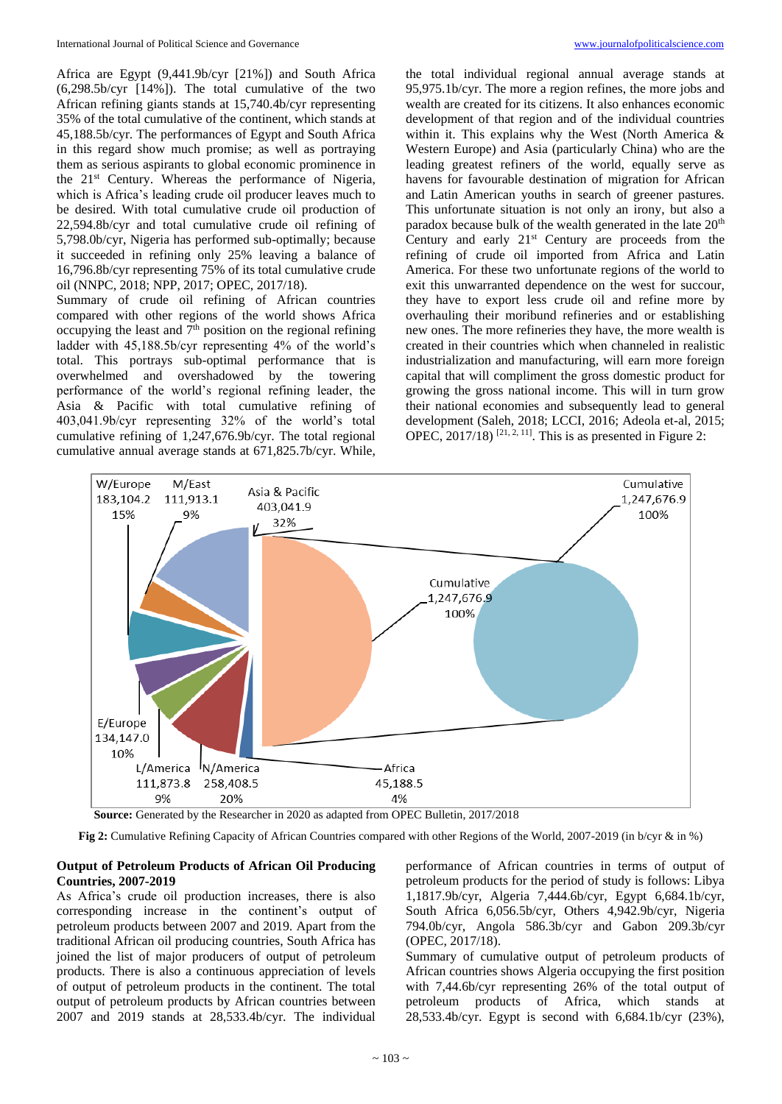Africa are Egypt (9,441.9b/cyr [21%]) and South Africa (6,298.5b/cyr [14%]). The total cumulative of the two African refining giants stands at 15,740.4b/cyr representing 35% of the total cumulative of the continent, which stands at 45,188.5b/cyr. The performances of Egypt and South Africa in this regard show much promise; as well as portraying them as serious aspirants to global economic prominence in the 21st Century. Whereas the performance of Nigeria, which is Africa's leading crude oil producer leaves much to be desired. With total cumulative crude oil production of 22,594.8b/cyr and total cumulative crude oil refining of 5,798.0b/cyr, Nigeria has performed sub-optimally; because it succeeded in refining only 25% leaving a balance of 16,796.8b/cyr representing 75% of its total cumulative crude oil (NNPC, 2018; NPP, 2017; OPEC, 2017/18).

Summary of crude oil refining of African countries compared with other regions of the world shows Africa occupying the least and  $\overline{\gamma}^{\text{th}}$  position on the regional refining ladder with 45,188.5b/cyr representing 4% of the world's total. This portrays sub-optimal performance that is overwhelmed and overshadowed by the towering performance of the world's regional refining leader, the Asia & Pacific with total cumulative refining of 403,041.9b/cyr representing 32% of the world's total cumulative refining of 1,247,676.9b/cyr. The total regional cumulative annual average stands at 671,825.7b/cyr. While,

the total individual regional annual average stands at 95,975.1b/cyr. The more a region refines, the more jobs and wealth are created for its citizens. It also enhances economic development of that region and of the individual countries within it. This explains why the West (North America & Western Europe) and Asia (particularly China) who are the leading greatest refiners of the world, equally serve as havens for favourable destination of migration for African and Latin American youths in search of greener pastures. This unfortunate situation is not only an irony, but also a paradox because bulk of the wealth generated in the late  $20<sup>th</sup>$ Century and early  $21<sup>st</sup>$  Century are proceeds from the refining of crude oil imported from Africa and Latin America. For these two unfortunate regions of the world to exit this unwarranted dependence on the west for succour, they have to export less crude oil and refine more by overhauling their moribund refineries and or establishing new ones. The more refineries they have, the more wealth is created in their countries which when channeled in realistic industrialization and manufacturing, will earn more foreign capital that will compliment the gross domestic product for growing the gross national income. This will in turn grow their national economies and subsequently lead to general development (Saleh, 2018; LCCI, 2016; Adeola et-al, 2015; OPEC,  $2017/18$ )<sup>[21, 2, 11]</sup>. This is as presented in Figure 2:



**Source:** Generated by the Researcher in 2020 as adapted from OPEC Bulletin, 2017/2018

**Fig 2:** Cumulative Refining Capacity of African Countries compared with other Regions of the World, 2007-2019 (in b/cyr & in %)

## **Output of Petroleum Products of African Oil Producing Countries, 2007-2019**

As Africa's crude oil production increases, there is also corresponding increase in the continent's output of petroleum products between 2007 and 2019. Apart from the traditional African oil producing countries, South Africa has joined the list of major producers of output of petroleum products. There is also a continuous appreciation of levels of output of petroleum products in the continent. The total output of petroleum products by African countries between 2007 and 2019 stands at 28,533.4b/cyr. The individual

performance of African countries in terms of output of petroleum products for the period of study is follows: Libya 1,1817.9b/cyr, Algeria 7,444.6b/cyr, Egypt 6,684.1b/cyr, South Africa 6,056.5b/cyr, Others 4,942.9b/cyr, Nigeria 794.0b/cyr, Angola 586.3b/cyr and Gabon 209.3b/cyr (OPEC, 2017/18).

Summary of cumulative output of petroleum products of African countries shows Algeria occupying the first position with 7,44.6b/cyr representing 26% of the total output of petroleum products of Africa, which stands at 28,533.4b/cyr. Egypt is second with 6,684.1b/cyr (23%),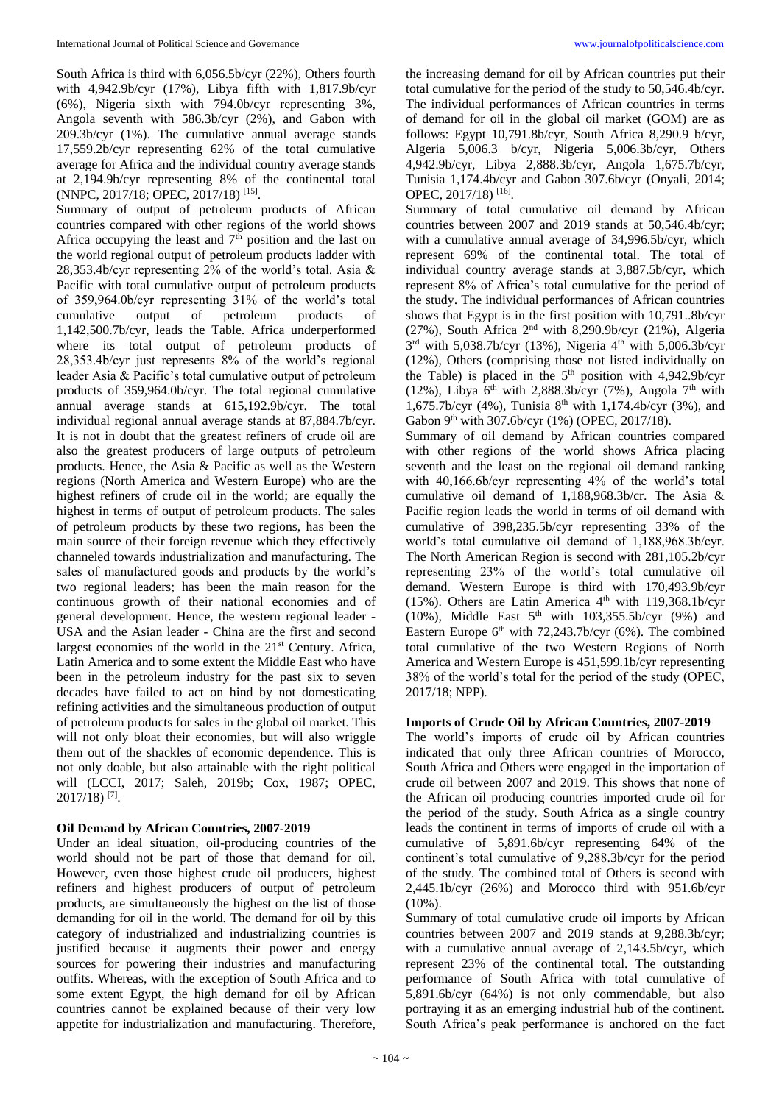South Africa is third with 6,056.5b/cyr (22%), Others fourth with 4,942.9b/cyr (17%), Libya fifth with 1,817.9b/cyr (6%), Nigeria sixth with 794.0b/cyr representing 3%, Angola seventh with 586.3b/cyr (2%), and Gabon with 209.3b/cyr (1%). The cumulative annual average stands 17,559.2b/cyr representing 62% of the total cumulative average for Africa and the individual country average stands at 2,194.9b/cyr representing 8% of the continental total (NNPC, 2017/18; OPEC, 2017/18)<sup>[15]</sup>.

Summary of output of petroleum products of African countries compared with other regions of the world shows Africa occupying the least and  $7<sup>th</sup>$  position and the last on the world regional output of petroleum products ladder with 28,353.4b/cyr representing 2% of the world's total. Asia & Pacific with total cumulative output of petroleum products of 359,964.0b/cyr representing 31% of the world's total cumulative output of petroleum products of 1,142,500.7b/cyr, leads the Table. Africa underperformed where its total output of petroleum products of 28,353.4b/cyr just represents 8% of the world's regional leader Asia & Pacific's total cumulative output of petroleum products of 359,964.0b/cyr. The total regional cumulative annual average stands at 615,192.9b/cyr. The total individual regional annual average stands at 87,884.7b/cyr. It is not in doubt that the greatest refiners of crude oil are also the greatest producers of large outputs of petroleum products. Hence, the Asia & Pacific as well as the Western regions (North America and Western Europe) who are the highest refiners of crude oil in the world; are equally the highest in terms of output of petroleum products. The sales of petroleum products by these two regions, has been the main source of their foreign revenue which they effectively channeled towards industrialization and manufacturing. The sales of manufactured goods and products by the world's two regional leaders; has been the main reason for the continuous growth of their national economies and of general development. Hence, the western regional leader - USA and the Asian leader - China are the first and second largest economies of the world in the  $21<sup>st</sup>$  Century. Africa, Latin America and to some extent the Middle East who have been in the petroleum industry for the past six to seven decades have failed to act on hind by not domesticating refining activities and the simultaneous production of output of petroleum products for sales in the global oil market. This will not only bloat their economies, but will also wriggle them out of the shackles of economic dependence. This is not only doable, but also attainable with the right political will (LCCI, 2017; Saleh, 2019b; Cox, 1987; OPEC, 2017/18) [7] .

## **Oil Demand by African Countries, 2007-2019**

Under an ideal situation, oil-producing countries of the world should not be part of those that demand for oil. However, even those highest crude oil producers, highest refiners and highest producers of output of petroleum products, are simultaneously the highest on the list of those demanding for oil in the world. The demand for oil by this category of industrialized and industrializing countries is justified because it augments their power and energy sources for powering their industries and manufacturing outfits. Whereas, with the exception of South Africa and to some extent Egypt, the high demand for oil by African countries cannot be explained because of their very low appetite for industrialization and manufacturing. Therefore,

the increasing demand for oil by African countries put their total cumulative for the period of the study to 50,546.4b/cyr. The individual performances of African countries in terms of demand for oil in the global oil market (GOM) are as follows: Egypt 10,791.8b/cyr, South Africa 8,290.9 b/cyr, Algeria 5,006.3 b/cyr, Nigeria 5,006.3b/cyr, Others 4,942.9b/cyr, Libya 2,888.3b/cyr, Angola 1,675.7b/cyr, Tunisia 1,174.4b/cyr and Gabon 307.6b/cyr (Onyali, 2014; OPEC, 2017/18)<sup>[16]</sup>.

Summary of total cumulative oil demand by African countries between 2007 and 2019 stands at 50,546.4b/cyr; with a cumulative annual average of 34,996.5b/cyr, which represent 69% of the continental total. The total of individual country average stands at 3,887.5b/cyr, which represent 8% of Africa's total cumulative for the period of the study. The individual performances of African countries shows that Egypt is in the first position with 10,791..8b/cyr (27%), South Africa  $2<sup>nd</sup>$  with 8,290.9b/cyr (21%), Algeria 3<sup>rd</sup> with 5,038.7b/cyr (13%), Nigeria 4<sup>th</sup> with 5,006.3b/cyr (12%), Others (comprising those not listed individually on the Table) is placed in the 5<sup>th</sup> position with 4,942.9b/cyr (12%), Libya  $6<sup>th</sup>$  with 2,888.3b/cyr (7%), Angola 7<sup>th</sup> with 1,675.7b/cyr (4%), Tunisia  $8^{th}$  with 1,174.4b/cyr (3%), and Gabon 9<sup>th</sup> with 307.6b/cyr (1%) (OPEC, 2017/18).

Summary of oil demand by African countries compared with other regions of the world shows Africa placing seventh and the least on the regional oil demand ranking with 40,166.6b/cyr representing 4% of the world's total cumulative oil demand of 1,188,968.3b/cr. The Asia & Pacific region leads the world in terms of oil demand with cumulative of 398,235.5b/cyr representing 33% of the world's total cumulative oil demand of 1,188,968.3b/cyr. The North American Region is second with 281,105.2b/cyr representing 23% of the world's total cumulative oil demand. Western Europe is third with 170,493.9b/cyr (15%). Others are Latin America  $4<sup>th</sup>$  with 119,368.1b/cyr (10%), Middle East  $5<sup>th</sup>$  with 103,355.5b/cyr (9%) and Eastern Europe  $6<sup>th</sup>$  with 72,243.7b/cyr (6%). The combined total cumulative of the two Western Regions of North America and Western Europe is 451,599.1b/cyr representing 38% of the world's total for the period of the study (OPEC, 2017/18; NPP).

# **Imports of Crude Oil by African Countries, 2007-2019**

The world's imports of crude oil by African countries indicated that only three African countries of Morocco, South Africa and Others were engaged in the importation of crude oil between 2007 and 2019. This shows that none of the African oil producing countries imported crude oil for the period of the study. South Africa as a single country leads the continent in terms of imports of crude oil with a cumulative of 5,891.6b/cyr representing 64% of the continent's total cumulative of 9,288.3b/cyr for the period of the study. The combined total of Others is second with 2,445.1b/cyr (26%) and Morocco third with 951.6b/cyr (10%).

Summary of total cumulative crude oil imports by African countries between 2007 and 2019 stands at 9,288.3b/cyr; with a cumulative annual average of 2,143.5b/cyr, which represent 23% of the continental total. The outstanding performance of South Africa with total cumulative of 5,891.6b/cyr (64%) is not only commendable, but also portraying it as an emerging industrial hub of the continent. South Africa's peak performance is anchored on the fact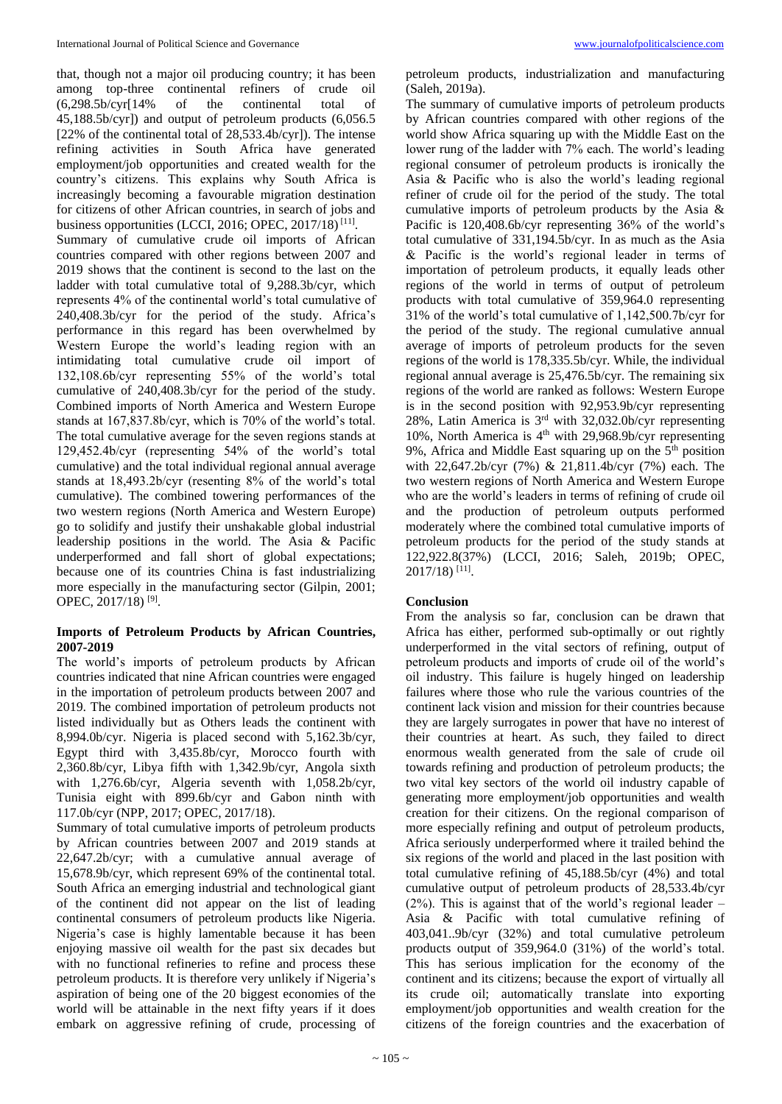that, though not a major oil producing country; it has been among top-three continental refiners of crude oil (6,298.5b/cyr[14% of the continental total of 45,188.5b/cyr]) and output of petroleum products (6,056.5 [22% of the continental total of 28,533.4b/cyr]). The intense refining activities in South Africa have generated employment/job opportunities and created wealth for the country's citizens. This explains why South Africa is increasingly becoming a favourable migration destination for citizens of other African countries, in search of jobs and business opportunities (LCCI, 2016; OPEC, 2017/18)<sup>[11]</sup>. Summary of cumulative crude oil imports of African countries compared with other regions between 2007 and 2019 shows that the continent is second to the last on the ladder with total cumulative total of 9,288.3b/cyr, which represents 4% of the continental world's total cumulative of 240,408.3b/cyr for the period of the study. Africa's performance in this regard has been overwhelmed by Western Europe the world's leading region with an intimidating total cumulative crude oil import of 132,108.6b/cyr representing 55% of the world's total cumulative of 240,408.3b/cyr for the period of the study. Combined imports of North America and Western Europe stands at 167,837.8b/cyr, which is 70% of the world's total. The total cumulative average for the seven regions stands at 129,452.4b/cyr (representing 54% of the world's total cumulative) and the total individual regional annual average stands at 18,493.2b/cyr (resenting 8% of the world's total cumulative). The combined towering performances of the two western regions (North America and Western Europe) go to solidify and justify their unshakable global industrial leadership positions in the world. The Asia & Pacific underperformed and fall short of global expectations; because one of its countries China is fast industrializing more especially in the manufacturing sector (Gilpin, 2001; OPEC, 2017/18)<sup>[9]</sup>.

# **Imports of Petroleum Products by African Countries, 2007-2019**

The world's imports of petroleum products by African countries indicated that nine African countries were engaged in the importation of petroleum products between 2007 and 2019. The combined importation of petroleum products not listed individually but as Others leads the continent with 8,994.0b/cyr. Nigeria is placed second with 5,162.3b/cyr, Egypt third with 3,435.8b/cyr, Morocco fourth with 2,360.8b/cyr, Libya fifth with 1,342.9b/cyr, Angola sixth with 1,276.6b/cyr, Algeria seventh with 1,058.2b/cyr, Tunisia eight with 899.6b/cyr and Gabon ninth with 117.0b/cyr (NPP, 2017; OPEC, 2017/18).

Summary of total cumulative imports of petroleum products by African countries between 2007 and 2019 stands at 22,647.2b/cyr; with a cumulative annual average of 15,678.9b/cyr, which represent 69% of the continental total. South Africa an emerging industrial and technological giant of the continent did not appear on the list of leading continental consumers of petroleum products like Nigeria. Nigeria's case is highly lamentable because it has been enjoying massive oil wealth for the past six decades but with no functional refineries to refine and process these petroleum products. It is therefore very unlikely if Nigeria's aspiration of being one of the 20 biggest economies of the world will be attainable in the next fifty years if it does embark on aggressive refining of crude, processing of petroleum products, industrialization and manufacturing (Saleh, 2019a).

The summary of cumulative imports of petroleum products by African countries compared with other regions of the world show Africa squaring up with the Middle East on the lower rung of the ladder with 7% each. The world's leading regional consumer of petroleum products is ironically the Asia & Pacific who is also the world's leading regional refiner of crude oil for the period of the study. The total cumulative imports of petroleum products by the Asia & Pacific is 120,408.6b/cyr representing 36% of the world's total cumulative of 331,194.5b/cyr. In as much as the Asia & Pacific is the world's regional leader in terms of importation of petroleum products, it equally leads other regions of the world in terms of output of petroleum products with total cumulative of 359,964.0 representing 31% of the world's total cumulative of 1,142,500.7b/cyr for the period of the study. The regional cumulative annual average of imports of petroleum products for the seven regions of the world is 178,335.5b/cyr. While, the individual regional annual average is 25,476.5b/cyr. The remaining six regions of the world are ranked as follows: Western Europe is in the second position with 92,953.9b/cyr representing 28%, Latin America is 3rd with 32,032.0b/cyr representing 10%, North America is  $4<sup>th</sup>$  with 29,968.9b/cyr representing 9%, Africa and Middle East squaring up on the  $5<sup>th</sup>$  position with 22,647.2b/cyr (7%) & 21,811.4b/cyr (7%) each. The two western regions of North America and Western Europe who are the world's leaders in terms of refining of crude oil and the production of petroleum outputs performed moderately where the combined total cumulative imports of petroleum products for the period of the study stands at 122,922.8(37%) (LCCI, 2016; Saleh, 2019b; OPEC, 2017/18) [11] .

## **Conclusion**

From the analysis so far, conclusion can be drawn that Africa has either, performed sub-optimally or out rightly underperformed in the vital sectors of refining, output of petroleum products and imports of crude oil of the world's oil industry. This failure is hugely hinged on leadership failures where those who rule the various countries of the continent lack vision and mission for their countries because they are largely surrogates in power that have no interest of their countries at heart. As such, they failed to direct enormous wealth generated from the sale of crude oil towards refining and production of petroleum products; the two vital key sectors of the world oil industry capable of generating more employment/job opportunities and wealth creation for their citizens. On the regional comparison of more especially refining and output of petroleum products, Africa seriously underperformed where it trailed behind the six regions of the world and placed in the last position with total cumulative refining of 45,188.5b/cyr (4%) and total cumulative output of petroleum products of 28,533.4b/cyr  $(2%)$ . This is against that of the world's regional leader – Asia & Pacific with total cumulative refining of 403,041..9b/cyr (32%) and total cumulative petroleum products output of 359,964.0 (31%) of the world's total. This has serious implication for the economy of the continent and its citizens; because the export of virtually all its crude oil; automatically translate into exporting employment/job opportunities and wealth creation for the citizens of the foreign countries and the exacerbation of